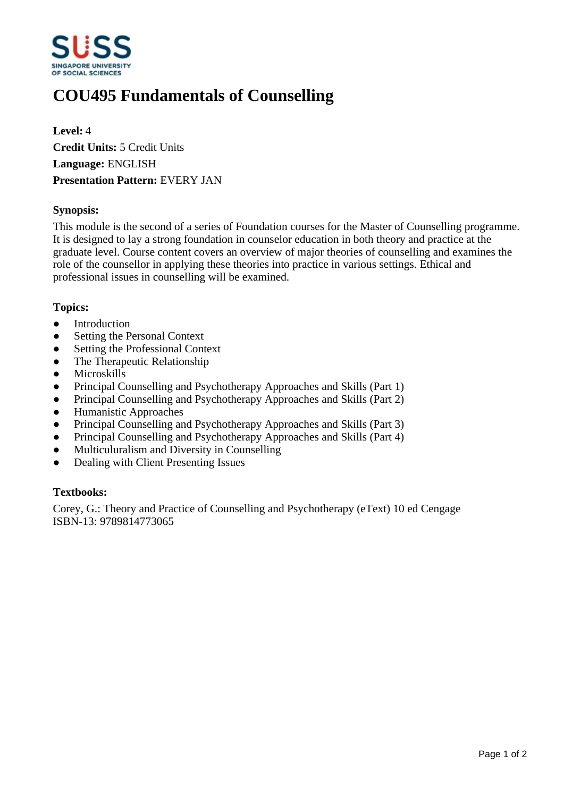

# **COU495 Fundamentals of Counselling**

**Level:** 4 **Credit Units:** 5 Credit Units **Language:** ENGLISH **Presentation Pattern:** EVERY JAN

## **Synopsis:**

This module is the second of a series of Foundation courses for the Master of Counselling programme. It is designed to lay a strong foundation in counselor education in both theory and practice at the graduate level. Course content covers an overview of major theories of counselling and examines the role of the counsellor in applying these theories into practice in various settings. Ethical and professional issues in counselling will be examined.

#### **Topics:**

- Introduction
- Setting the Personal Context
- Setting the Professional Context
- The Therapeutic Relationship
- ƔMicroskills
- Principal Counselling and Psychotherapy Approaches and Skills (Part 1)
- Principal Counselling and Psychotherapy Approaches and Skills (Part 2)
- Humanistic Approaches
- Principal Counselling and Psychotherapy Approaches and Skills (Part 3)
- Principal Counselling and Psychotherapy Approaches and Skills (Part 4)
- Multiculuralism and Diversity in Counselling
- Dealing with Client Presenting Issues

#### **Textbooks:**

Corey, G.: Theory and Practice of Counselling and Psychotherapy (eText) 10 ed Cengage ISBN-13: 9789814773065